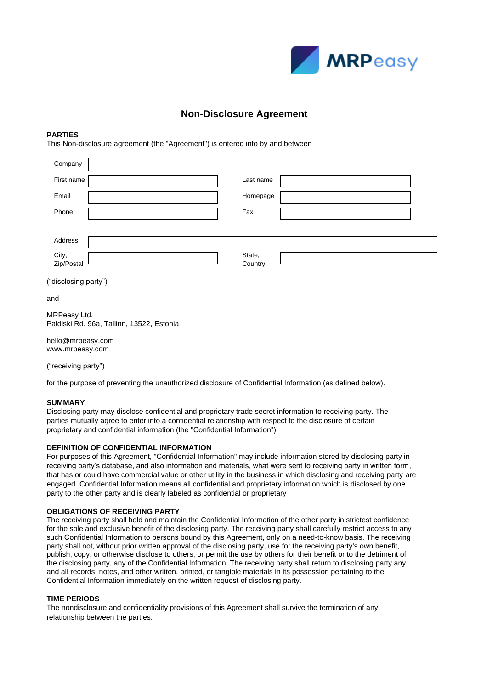

# **Non-Disclosure Agreement**

#### **PARTIES**

This Non-disclosure agreement (the "Agreement") is entered into by and between

| Company              |                   |
|----------------------|-------------------|
| First name           | Last name         |
| Email                | Homepage          |
| Phone                | Fax               |
|                      |                   |
| Address              |                   |
| City,<br>Zip/Postal  | State,<br>Country |
| ("disclosing party") |                   |

and

MRPeasy Ltd. Paldiski Rd. 96a, Tallinn, 13522, Estonia

hello@mrpeasy.com www.mrpeasy.com

("receiving party")

for the purpose of preventing the unauthorized disclosure of Confidential Information (as defined below).

#### **SUMMARY**

Disclosing party may disclose confidential and proprietary trade secret information to receiving party. The parties mutually agree to enter into a confidential relationship with respect to the disclosure of certain proprietary and confidential information (the "Confidential Information").

#### **DEFINITION OF CONFIDENTIAL INFORMATION**

For purposes of this Agreement, "Confidential Information" may include information stored by disclosing party in receiving party's database, and also information and materials, what were sent to receiving party in written form, that has or could have commercial value or other utility in the business in which disclosing and receiving party are engaged. Confidential Information means all confidential and proprietary information which is disclosed by one party to the other party and is clearly labeled as confidential or proprietary

#### **OBLIGATIONS OF RECEIVING PARTY**

The receiving party shall hold and maintain the Confidential Information of the other party in strictest confidence for the sole and exclusive benefit of the disclosing party. The receiving party shall carefully restrict access to any such Confidential Information to persons bound by this Agreement, only on a need-to-know basis. The receiving party shall not, without prior written approval of the disclosing party, use for the receiving party's own benefit, publish, copy, or otherwise disclose to others, or permit the use by others for their benefit or to the detriment of the disclosing party, any of the Confidential Information. The receiving party shall return to disclosing party any and all records, notes, and other written, printed, or tangible materials in its possession pertaining to the Confidential Information immediately on the written request of disclosing party.

## **TIME PERIODS**

The nondisclosure and confidentiality provisions of this Agreement shall survive the termination of any relationship between the parties.